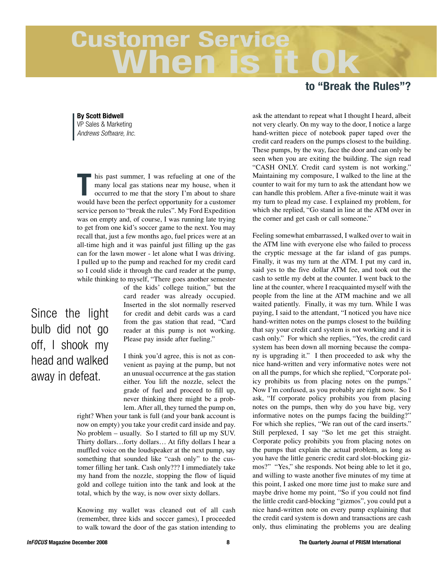## **Customer Service When is it**

## **to "Break the Rules"?**

**By Scott Bidwell** VP Sales & Marketing *Andrews Software, Inc.*

**T** his past summer, I was refueling at one of the many local gas stations near my house, when it occurred to me that the story I'm about to share many local gas stations near my house, when it occurred to me that the story I'm about to share would have been the perfect opportunity for a customer service person to "break the rules". My Ford Expedition was on empty and, of course, I was running late trying to get from one kid's soccer game to the next. You may recall that, just a few months ago, fuel prices were at an all-time high and it was painful just filling up the gas can for the lawn mower - let alone what I was driving. I pulled up to the pump and reached for my credit card so I could slide it through the card reader at the pump, while thinking to myself, "There goes another semester

> of the kids' college tuition," but the card reader was already occupied. Inserted in the slot normally reserved for credit and debit cards was a card from the gas station that read, "Card reader at this pump is not working. Please pay inside after fueling."

I think you'd agree, this is not as convenient as paying at the pump, but not an unusual occurrence at the gas station either. You lift the nozzle, select the grade of fuel and proceed to fill up, never thinking there might be a problem. After all, they turned the pump on,

right? When your tank is full (and your bank account is now on empty) you take your credit card inside and pay. No problem – usually. So I started to fill up my SUV. Thirty dollars…forty dollars… At fifty dollars I hear a muffled voice on the loudspeaker at the next pump, say something that sounded like "cash only" to the customer filling her tank. Cash only??? I immediately take my hand from the nozzle, stopping the flow of liquid gold and college tuition into the tank and look at the total, which by the way, is now over sixty dollars.

Knowing my wallet was cleaned out of all cash (remember, three kids and soccer games), I proceeded to walk toward the door of the gas station intending to ask the attendant to repeat what I thought I heard, albeit not very clearly. On my way to the door, I notice a large hand-written piece of notebook paper taped over the credit card readers on the pumps closest to the building. These pumps, by the way, face the door and can only be seen when you are exiting the building. The sign read "CASH ONLY. Credit card system is not working." Maintaining my composure, I walked to the line at the counter to wait for my turn to ask the attendant how we can handle this problem. After a five-minute wait it was my turn to plead my case. I explained my problem, for which she replied, "Go stand in line at the ATM over in the corner and get cash or call someone."

Feeling somewhat embarrassed, I walked over to wait in the ATM line with everyone else who failed to process the cryptic message at the far island of gas pumps. Finally, it was my turn at the ATM. I put my card in, said yes to the five dollar ATM fee, and took out the cash to settle my debt at the counter. I went back to the line at the counter, where I reacquainted myself with the people from the line at the ATM machine and we all waited patiently. Finally, it was my turn. While I was paying, I said to the attendant, "I noticed you have nice hand-written notes on the pumps closest to the building that say your credit card system is not working and it is cash only." For which she replies, "Yes, the credit card system has been down all morning because the company is upgrading it." I then proceeded to ask why the nice hand-written and very informative notes were not on all the pumps, for which she replied, "Corporate policy prohibits us from placing notes on the pumps." Now I'm confused, as you probably are right now. So I ask, "If corporate policy prohibits you from placing notes on the pumps, then why do you have big, very informative notes on the pumps facing the building?" For which she replies, "We ran out of the card inserts." Still perplexed, I say "So let me get this straight. Corporate policy prohibits you from placing notes on the pumps that explain the actual problem, as long as you have the little generic credit card slot-blocking gizmos?" "Yes," she responds. Not being able to let it go, and willing to waste another five minutes of my time at this point, I asked one more time just to make sure and maybe drive home my point, "So if you could not find the little credit card-blocking "gizmos", you could put a nice hand-written note on every pump explaining that the credit card system is down and transactions are cash only, thus eliminating the problems you are dealing

Since the light

bulb did not go

off, I shook my

head and walked

away in defeat.